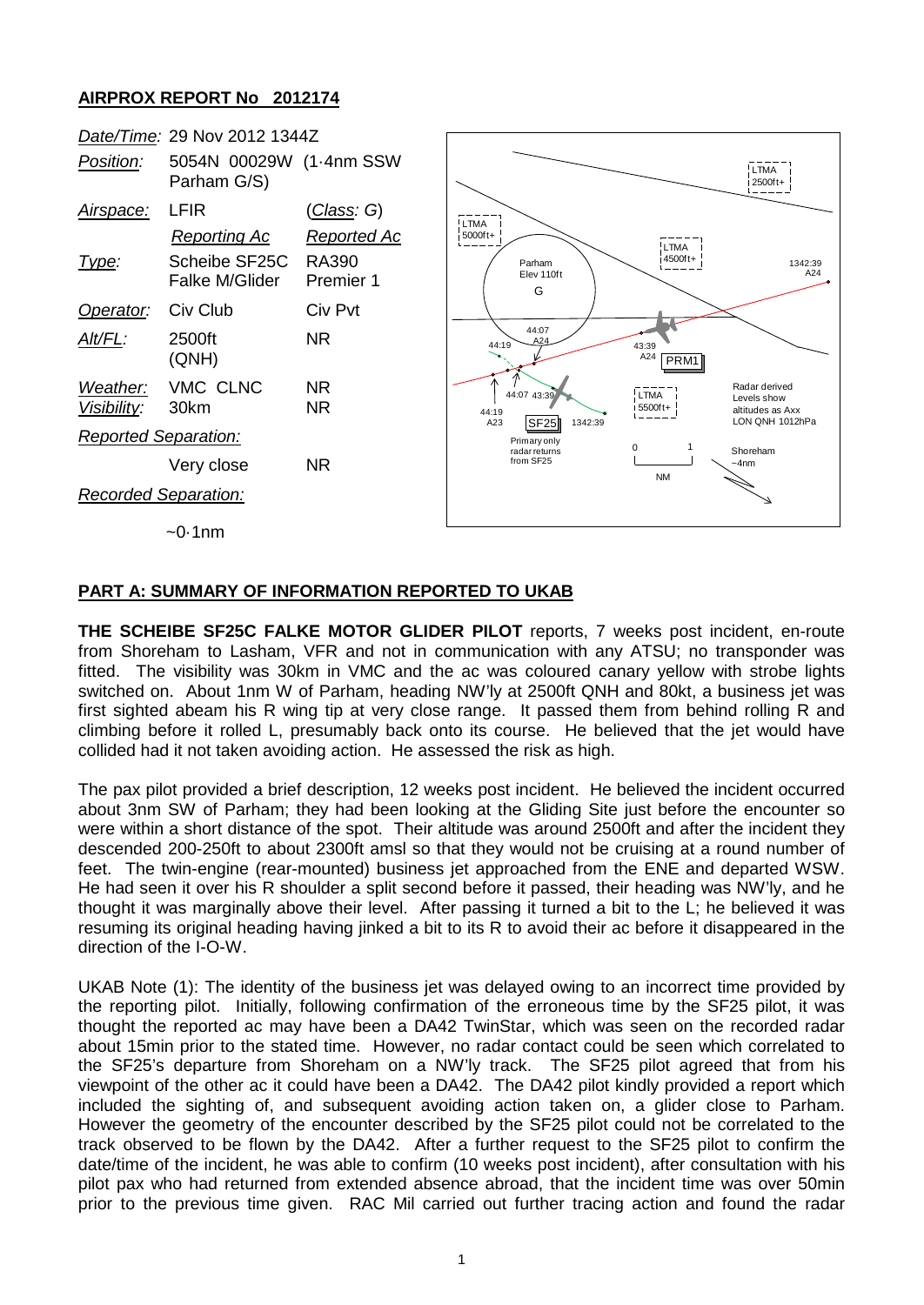## **AIRPROX REPORT No 2012174**



## **PART A: SUMMARY OF INFORMATION REPORTED TO UKAB**

**THE SCHEIBE SF25C FALKE MOTOR GLIDER PILOT** reports, 7 weeks post incident, en-route from Shoreham to Lasham, VFR and not in communication with any ATSU; no transponder was fitted. The visibility was 30km in VMC and the ac was coloured canary yellow with strobe lights switched on. About 1nm W of Parham, heading NW'ly at 2500ft QNH and 80kt, a business jet was first sighted abeam his R wing tip at very close range. It passed them from behind rolling R and climbing before it rolled L, presumably back onto its course. He believed that the jet would have collided had it not taken avoiding action. He assessed the risk as high.

The pax pilot provided a brief description, 12 weeks post incident. He believed the incident occurred about 3nm SW of Parham; they had been looking at the Gliding Site just before the encounter so were within a short distance of the spot. Their altitude was around 2500ft and after the incident they descended 200-250ft to about 2300ft amsl so that they would not be cruising at a round number of feet. The twin-engine (rear-mounted) business jet approached from the ENE and departed WSW. He had seen it over his R shoulder a split second before it passed, their heading was NW'ly, and he thought it was marginally above their level. After passing it turned a bit to the L; he believed it was resuming its original heading having jinked a bit to its R to avoid their ac before it disappeared in the direction of the I-O-W.

UKAB Note (1): The identity of the business jet was delayed owing to an incorrect time provided by the reporting pilot. Initially, following confirmation of the erroneous time by the SF25 pilot, it was thought the reported ac may have been a DA42 TwinStar, which was seen on the recorded radar about 15min prior to the stated time. However, no radar contact could be seen which correlated to the SF25's departure from Shoreham on a NW'ly track. The SF25 pilot agreed that from his viewpoint of the other ac it could have been a DA42. The DA42 pilot kindly provided a report which included the sighting of, and subsequent avoiding action taken on, a glider close to Parham. However the geometry of the encounter described by the SF25 pilot could not be correlated to the track observed to be flown by the DA42. After a further request to the SF25 pilot to confirm the date/time of the incident, he was able to confirm (10 weeks post incident), after consultation with his pilot pax who had returned from extended absence abroad, that the incident time was over 50min prior to the previous time given. RAC Mil carried out further tracing action and found the radar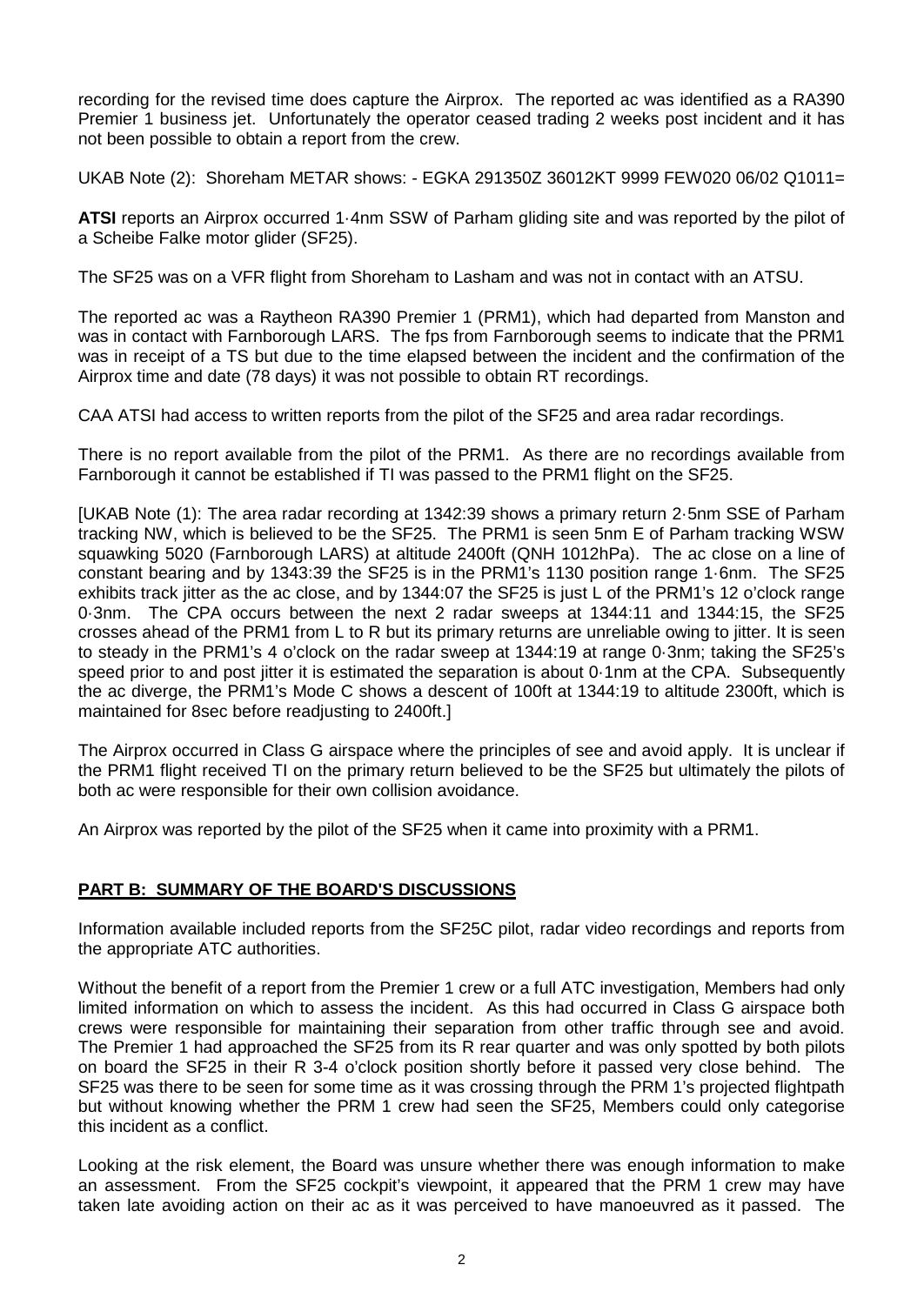recording for the revised time does capture the Airprox. The reported ac was identified as a RA390 Premier 1 business jet. Unfortunately the operator ceased trading 2 weeks post incident and it has not been possible to obtain a report from the crew.

UKAB Note (2): Shoreham METAR shows: - EGKA 291350Z 36012KT 9999 FEW020 06/02 Q1011=

**ATSI** reports an Airprox occurred 1·4nm SSW of Parham gliding site and was reported by the pilot of a Scheibe Falke motor glider (SF25).

The SF25 was on a VFR flight from Shoreham to Lasham and was not in contact with an ATSU.

The reported ac was a Raytheon RA390 Premier 1 (PRM1), which had departed from Manston and was in contact with Farnborough LARS. The fps from Farnborough seems to indicate that the PRM1 was in receipt of a TS but due to the time elapsed between the incident and the confirmation of the Airprox time and date (78 days) it was not possible to obtain RT recordings.

CAA ATSI had access to written reports from the pilot of the SF25 and area radar recordings.

There is no report available from the pilot of the PRM1. As there are no recordings available from Farnborough it cannot be established if TI was passed to the PRM1 flight on the SF25.

[UKAB Note (1): The area radar recording at 1342:39 shows a primary return 2·5nm SSE of Parham tracking NW, which is believed to be the SF25. The PRM1 is seen 5nm E of Parham tracking WSW squawking 5020 (Farnborough LARS) at altitude 2400ft (QNH 1012hPa). The ac close on a line of constant bearing and by 1343:39 the SF25 is in the PRM1's 1130 position range 1·6nm. The SF25 exhibits track jitter as the ac close, and by 1344:07 the SF25 is just L of the PRM1's 12 o'clock range 0·3nm. The CPA occurs between the next 2 radar sweeps at 1344:11 and 1344:15, the SF25 crosses ahead of the PRM1 from L to R but its primary returns are unreliable owing to jitter. It is seen to steady in the PRM1's 4 o'clock on the radar sweep at 1344:19 at range 0·3nm; taking the SF25's speed prior to and post jitter it is estimated the separation is about 0.1nm at the CPA. Subsequently the ac diverge, the PRM1's Mode C shows a descent of 100ft at 1344:19 to altitude 2300ft, which is maintained for 8sec before readjusting to 2400ft.]

The Airprox occurred in Class G airspace where the principles of see and avoid apply. It is unclear if the PRM1 flight received TI on the primary return believed to be the SF25 but ultimately the pilots of both ac were responsible for their own collision avoidance.

An Airprox was reported by the pilot of the SF25 when it came into proximity with a PRM1.

## **PART B: SUMMARY OF THE BOARD'S DISCUSSIONS**

Information available included reports from the SF25C pilot, radar video recordings and reports from the appropriate ATC authorities.

Without the benefit of a report from the Premier 1 crew or a full ATC investigation, Members had only limited information on which to assess the incident. As this had occurred in Class G airspace both crews were responsible for maintaining their separation from other traffic through see and avoid. The Premier 1 had approached the SF25 from its R rear quarter and was only spotted by both pilots on board the SF25 in their R 3-4 o'clock position shortly before it passed very close behind. The SF25 was there to be seen for some time as it was crossing through the PRM 1's projected flightpath but without knowing whether the PRM 1 crew had seen the SF25, Members could only categorise this incident as a conflict.

Looking at the risk element, the Board was unsure whether there was enough information to make an assessment. From the SF25 cockpit's viewpoint, it appeared that the PRM 1 crew may have taken late avoiding action on their ac as it was perceived to have manoeuvred as it passed. The